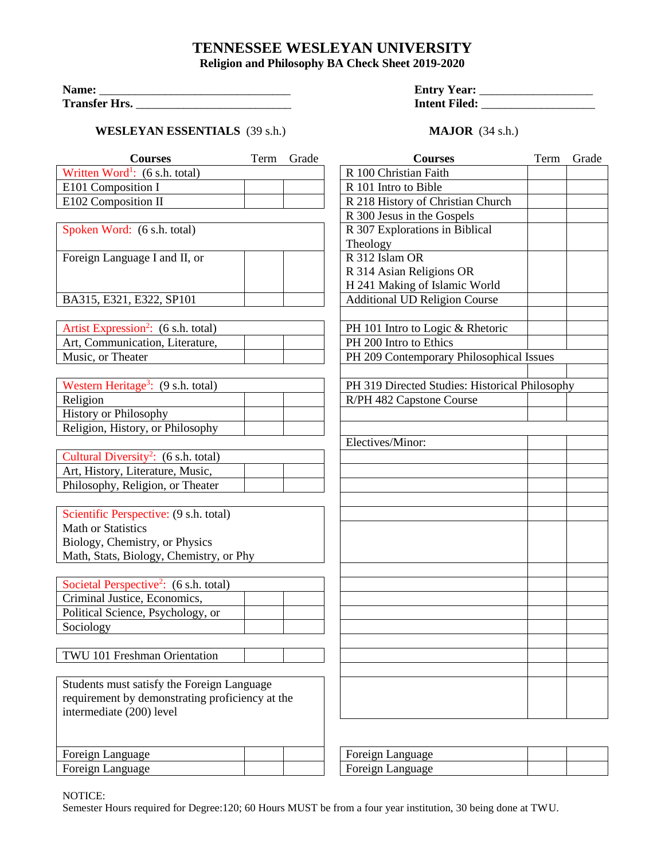## **TENNESSEE WESLEYAN UNIVERSITY**

**Religion and Philosophy BA Check Sheet 2019-2020**

| Name:                | <b>Entry Year:</b>   |
|----------------------|----------------------|
| <b>Transfer Hrs.</b> | <b>Intent Filed:</b> |

## **WESLEYAN ESSENTIALS** (39 s.h.) **MAJOR** (34 s.h.)

| <b>Entry Year:</b>   |  |
|----------------------|--|
| <b>Intent Filed:</b> |  |

| <b>Courses</b>                                               | Term | Grade | <b>Courses</b>                                 | Term | Grade |
|--------------------------------------------------------------|------|-------|------------------------------------------------|------|-------|
| Written Word <sup>1</sup> : $(6 \text{ s.h. total})$         |      |       | R 100 Christian Faith                          |      |       |
| E101 Composition I                                           |      |       | R 101 Intro to Bible                           |      |       |
| E102 Composition II                                          |      |       | R 218 History of Christian Church              |      |       |
|                                                              |      |       | R 300 Jesus in the Gospels                     |      |       |
| Spoken Word: (6 s.h. total)                                  |      |       | R 307 Explorations in Biblical                 |      |       |
|                                                              |      |       | Theology                                       |      |       |
| Foreign Language I and II, or                                |      |       | R 312 Islam OR                                 |      |       |
|                                                              |      |       | R 314 Asian Religions OR                       |      |       |
|                                                              |      |       | H 241 Making of Islamic World                  |      |       |
| BA315, E321, E322, SP101                                     |      |       | <b>Additional UD Religion Course</b>           |      |       |
|                                                              |      |       |                                                |      |       |
| Artist Expression <sup>2</sup> : (6 s.h. total)              |      |       | PH 101 Intro to Logic & Rhetoric               |      |       |
| Art, Communication, Literature,                              |      |       | PH 200 Intro to Ethics                         |      |       |
| Music, or Theater                                            |      |       | PH 209 Contemporary Philosophical Issues       |      |       |
|                                                              |      |       |                                                |      |       |
| Western Heritage <sup>3</sup> : (9 s.h. total)               |      |       | PH 319 Directed Studies: Historical Philosophy |      |       |
| Religion                                                     |      |       | R/PH 482 Capstone Course                       |      |       |
| <b>History or Philosophy</b>                                 |      |       |                                                |      |       |
| Religion, History, or Philosophy                             |      |       |                                                |      |       |
|                                                              |      |       | Electives/Minor:                               |      |       |
| Cultural Diversity <sup>2</sup> : $(6 \text{ s.h. total})$   |      |       |                                                |      |       |
| Art, History, Literature, Music,                             |      |       |                                                |      |       |
| Philosophy, Religion, or Theater                             |      |       |                                                |      |       |
|                                                              |      |       |                                                |      |       |
| Scientific Perspective: (9 s.h. total)                       |      |       |                                                |      |       |
| <b>Math or Statistics</b>                                    |      |       |                                                |      |       |
| Biology, Chemistry, or Physics                               |      |       |                                                |      |       |
| Math, Stats, Biology, Chemistry, or Phy                      |      |       |                                                |      |       |
|                                                              |      |       |                                                |      |       |
| Societal Perspective <sup>2</sup> : $(6 \text{ s.h. total})$ |      |       |                                                |      |       |
| Criminal Justice, Economics,                                 |      |       |                                                |      |       |
| Political Science, Psychology, or                            |      |       |                                                |      |       |
| Sociology                                                    |      |       |                                                |      |       |
|                                                              |      |       |                                                |      |       |
| TWU 101 Freshman Orientation                                 |      |       |                                                |      |       |
|                                                              |      |       |                                                |      |       |
| Students must satisfy the Foreign Language                   |      |       |                                                |      |       |
| requirement by demonstrating proficiency at the              |      |       |                                                |      |       |
| intermediate (200) level                                     |      |       |                                                |      |       |
|                                                              |      |       |                                                |      |       |
|                                                              |      |       |                                                |      |       |
| Foreign Language                                             |      |       | Foreign Language                               |      |       |
| Foreign Language                                             |      |       | Foreign Language                               |      |       |

NOTICE:

Semester Hours required for Degree:120; 60 Hours MUST be from a four year institution, 30 being done at TWU.